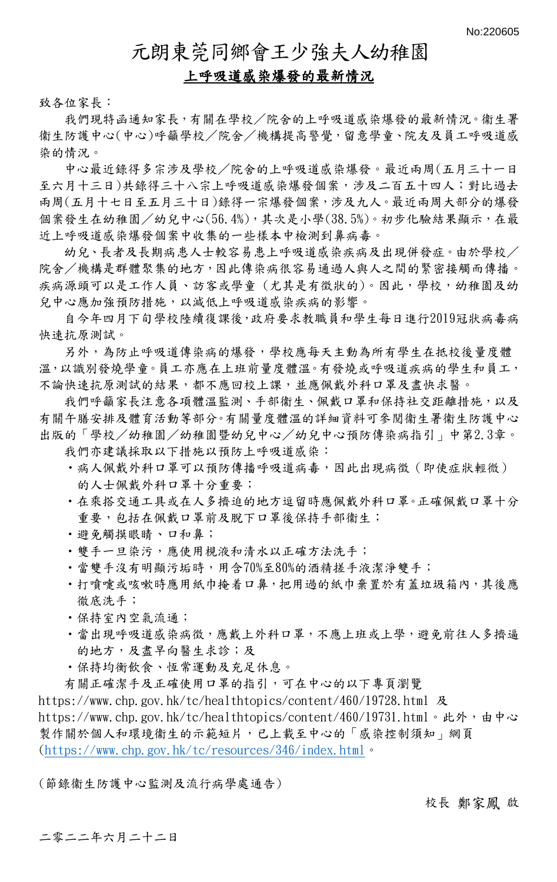## 元朗東莞同鄉會王少強夫人幼稚園

## 上呼吸道感染爆發的最新情況

致各位家長:

我們現特函通知家長,有關在學校/院舍的上呼吸道感染爆發的最新情況。衞生署 衞生防護中心(中心)呼籲學校/院舍/機構提高警覺,留意學童、院友及員工呼吸道感 染的情況。

中心最近錄得多宗涉及學校/院舍的上呼吸道感染爆發。最近兩周(五月三十一日 至六月十三日)共錄得三十八宗上呼吸道感染爆發個案,涉及二百五十四人;對比過去 兩周(五月十七日至五月三十日)錄得一宗爆發個案,涉及九人。最近兩周大部分的爆發 個案發生在幼稚園/幼兒中心(56.4%),其次是小學(38.5%)。初步化驗結果顯示,在最 近上呼吸道感染爆發個案中收集的一些樣本中檢測到鼻病毒。

幼兒、長者及長期病患人士較容易患上呼吸道感染疾病及出現併發症。由於學校/ 院舍/機構是群體聚集的地方,因此傳染病很容易通過人與人之間的緊密接觸而傳播。 疾病源頭可以是工作人員、訪客或學童 (尤其是有徵狀的)。因此,學校,幼稚園及幼 兒中心應加強預防措施,以減低上呼吸道感染疾病的影響。

自今年四月下旬學校陸續復課後,政府要求教職員和學生每日進行2019冠狀病毒病 快速抗原測試。

另外,為防止呼吸道傳染病的爆發,學校應每天主動為所有學生在抵校後量度體 溫,以識別發燒學童。員工亦應在上班前量度體溫。有發燒或呼吸道疾病的學生和員工, 不論快速抗原測試的結果,都不應回校上課,並應佩戴外科口罩及盡快求醫。

我們呼籲家長注意各項體溫監測、手部衞生、佩戴口罩和保持社交距離措施,以及 有關午膳安排及體育活動等部分。有關量度體溫的詳細資料可參閱衞生署衞生防護中心 出版的「學校/幼稚園/幼稚園暨幼兒中心/幼兒中心預防傳染病指引」中第2.3章。

我們亦建議採取以下措施以預防上呼吸道感染:

- •病人佩戴外科口罩可以預防傳播呼吸道病毒,因此出現病徵 (即使症狀輕微) 的人士佩戴外科口罩十分重要;
- •在乘搭交通工具或在人多擠迫的地方逗留時應佩戴外科口罩。正確佩戴口罩十分 重要,包括在佩戴口罩前及脫下口罩後保持手部衞生;
- •避免觸摸眼睛、口和鼻;
- •雙手一旦染污,應使用規液和清水以正確方法洗手;
- •當雙手沒有明顯污垢時,用含70%至80%的酒精搓手液潔淨雙手;
- •打噴嚏或咳嗽時應用紙巾掩着口鼻,把用過的紙巾棄置於有蓋垃圾箱內,其後應 徹底洗手;
- •保持室內空氣流通;
- •當出現呼吸道感染病徵,應戴上外科口罩,不應上班或上學,避免前往人多擠逼 的地方,及盡早向醫生求診;及
- •保持均衡飲食、恆常運動及充足休息。

有關正確潔手及正確使用口罩的指引,可在中心的以下專頁瀏覽

https://www.chp.gov.hk/tc/healthtopics/content/460/19728.html 及

https://www.chp.gov.hk/tc/healthtopics/content/460/19731.html。此外,由中心 製作關於個人和環境衞生的示範短片,已上載至中心的「感染控制須知」網頁  $(\text{https://www.chp.gov.hk/tc/resources/346/index.html} \cdot$ 

(節錄衞生防護中心監測及流行病學處通告)

校長 鄭家鳳 啟